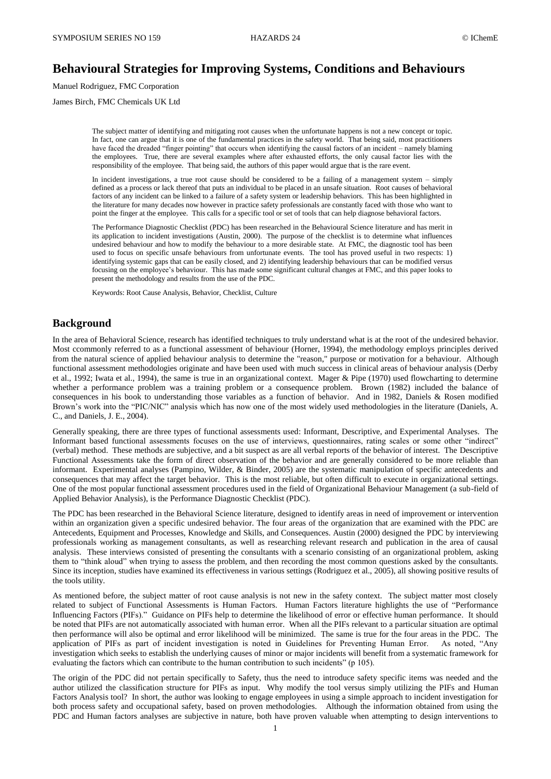## **Behavioural Strategies for Improving Systems, Conditions and Behaviours**

Manuel Rodriguez, FMC Corporation

James Birch, FMC Chemicals UK Ltd

The subject matter of identifying and mitigating root causes when the unfortunate happens is not a new concept or topic. In fact, one can argue that it is one of the fundamental practices in the safety world. That being said, most practitioners have faced the dreaded "finger pointing" that occurs when identifying the causal factors of an incident – namely blaming the employees. True, there are several examples where after exhausted efforts, the only causal factor lies with the responsibility of the employee. That being said, the authors of this paper would argue that is the rare event.

In incident investigations, a true root cause should be considered to be a failing of a management system – simply defined as a process or lack thereof that puts an individual to be placed in an unsafe situation. Root causes of behavioral factors of any incident can be linked to a failure of a safety system or leadership behaviors. This has been highlighted in the literature for many decades now however in practice safety professionals are constantly faced with those who want to point the finger at the employee. This calls for a specific tool or set of tools that can help diagnose behavioral factors.

The Performance Diagnostic Checklist (PDC) has been researched in the Behavioural Science literature and has merit in its application to incident investigations (Austin, 2000). The purpose of the checklist is to determine what influences undesired behaviour and how to modify the behaviour to a more desirable state. At FMC, the diagnostic tool has been used to focus on specific unsafe behaviours from unfortunate events. The tool has proved useful in two respects: 1) identifying systemic gaps that can be easily closed, and 2) identifying leadership behaviours that can be modified versus focusing on the employee's behaviour. This has made some significant cultural changes at FMC, and this paper looks to present the methodology and results from the use of the PDC.

Keywords: Root Cause Analysis, Behavior, Checklist, Culture

#### **Background**

In the area of Behavioral Science, research has identified techniques to truly understand what is at the root of the undesired behavior. Most ccommonly referred to as a functional assessment of behaviour (Horner, 1994), the methodology employs principles derived from the natural science of applied behaviour analysis to determine the "reason," purpose or motivation for a behaviour. Although functional assessment methodologies originate and have been used with much success in clinical areas of behaviour analysis (Derby et al., 1992; Iwata et al., 1994), the same is true in an organizational context. Mager & Pipe (1970) used flowcharting to determine whether a performance problem was a training problem or a consequence problem. Brown (1982) included the balance of consequences in his book to understanding those variables as a function of behavior. And in 1982, Daniels & Rosen modified Brown's work into the "PIC/NIC" analysis which has now one of the most widely used methodologies in the literature (Daniels, A. C., and Daniels, J. E., 2004).

Generally speaking, there are three types of functional assessments used: Informant, Descriptive, and Experimental Analyses. The Informant based functional assessments focuses on the use of interviews, questionnaires, rating scales or some other "indirect" (verbal) method. These methods are subjective, and a bit suspect as are all verbal reports of the behavior of interest. The Descriptive Functional Assessments take the form of direct observation of the behavior and are generally considered to be more reliable than informant. Experimental analyses (Pampino, Wilder, & Binder, 2005) are the systematic manipulation of specific antecedents and consequences that may affect the target behavior. This is the most reliable, but often difficult to execute in organizational settings. One of the most popular functional assessment procedures used in the field of Organizational Behaviour Management (a sub-field of Applied Behavior Analysis), is the Performance Diagnostic Checklist (PDC).

The PDC has been researched in the Behavioral Science literature, designed to identify areas in need of improvement or intervention within an organization given a specific undesired behavior. The four areas of the organization that are examined with the PDC are Antecedents, Equipment and Processes, Knowledge and Skills, and Consequences. Austin (2000) designed the PDC by interviewing professionals working as management consultants, as well as researching relevant research and publication in the area of causal analysis. These interviews consisted of presenting the consultants with a scenario consisting of an organizational problem, asking them to "think aloud" when trying to assess the problem, and then recording the most common questions asked by the consultants. Since its inception, studies have examined its effectiveness in various settings (Rodriguez et al., 2005), all showing positive results of the tools utility.

As mentioned before, the subject matter of root cause analysis is not new in the safety context. The subject matter most closely related to subject of Functional Assessments is Human Factors. Human Factors literature highlights the use of "Performance Influencing Factors (PIFs)." Guidance on PIFs help to determine the likelihood of error or effective human performance. It should be noted that PIFs are not automatically associated with human error. When all the PIFs relevant to a particular situation are optimal then performance will also be optimal and error likelihood will be minimized. The same is true for the four areas in the PDC. The application of PIFs as part of incident investigation is noted in Guidelines for Preventing Human Error. As noted, "Any investigation which seeks to establish the underlying causes of minor or major incidents will benefit from a systematic framework for evaluating the factors which can contribute to the human contribution to such incidents" (p 105).

The origin of the PDC did not pertain specifically to Safety, thus the need to introduce safety specific items was needed and the author utilized the classification structure for PIFs as input. Why modify the tool versus simply utilizing the PIFs and Human Factors Analysis tool? In short, the author was looking to engage employees in using a simple approach to incident investigation for both process safety and occupational safety, based on proven methodologies. Although the information obtained from using the PDC and Human factors analyses are subjective in nature, both have proven valuable when attempting to design interventions to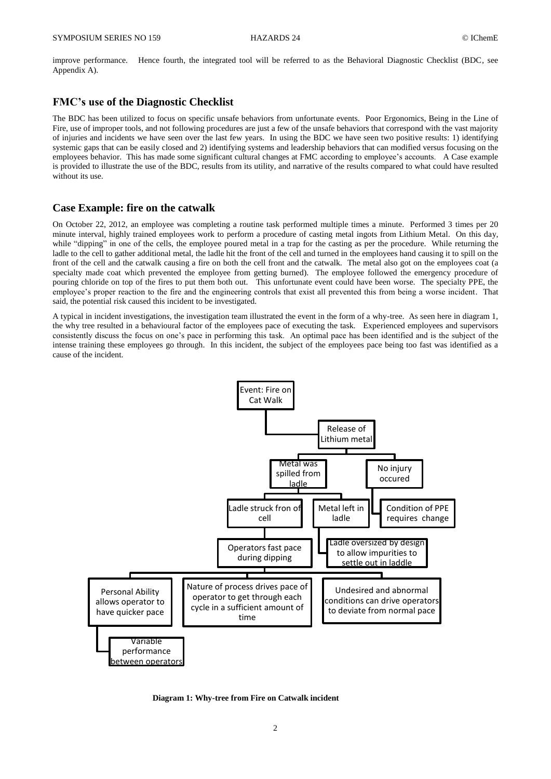improve performance. Hence fourth, the integrated tool will be referred to as the Behavioral Diagnostic Checklist (BDC, see Appendix A).

### **FMC's use of the Diagnostic Checklist**

The BDC has been utilized to focus on specific unsafe behaviors from unfortunate events. Poor Ergonomics, Being in the Line of Fire, use of improper tools, and not following procedures are just a few of the unsafe behaviors that correspond with the vast majority of injuries and incidents we have seen over the last few years. In using the BDC we have seen two positive results: 1) identifying systemic gaps that can be easily closed and 2) identifying systems and leadership behaviors that can modified versus focusing on the employees behavior. This has made some significant cultural changes at FMC according to employee's accounts. A Case example is provided to illustrate the use of the BDC, results from its utility, and narrative of the results compared to what could have resulted without its use.

#### **Case Example: fire on the catwalk**

On October 22, 2012, an employee was completing a routine task performed multiple times a minute. Performed 3 times per 20 minute interval, highly trained employees work to perform a procedure of casting metal ingots from Lithium Metal. On this day, while "dipping" in one of the cells, the employee poured metal in a trap for the casting as per the procedure. While returning the ladle to the cell to gather additional metal, the ladle hit the front of the cell and turned in the employees hand causing it to spill on the front of the cell and the catwalk causing a fire on both the cell front and the catwalk. The metal also got on the employees coat (a specialty made coat which prevented the employee from getting burned). The employee followed the emergency procedure of pouring chloride on top of the fires to put them both out. This unfortunate event could have been worse. The specialty PPE, the employee's proper reaction to the fire and the engineering controls that exist all prevented this from being a worse incident. That said, the potential risk caused this incident to be investigated.

A typical in incident investigations, the investigation team illustrated the event in the form of a why-tree. As seen here in diagram 1, the why tree resulted in a behavioural factor of the employees pace of executing the task. Experienced employees and supervisors consistently discuss the focus on one's pace in performing this task. An optimal pace has been identified and is the subject of the intense training these employees go through. In this incident, the subject of the employees pace being too fast was identified as a cause of the incident.



**Diagram 1: Why-tree from Fire on Catwalk incident**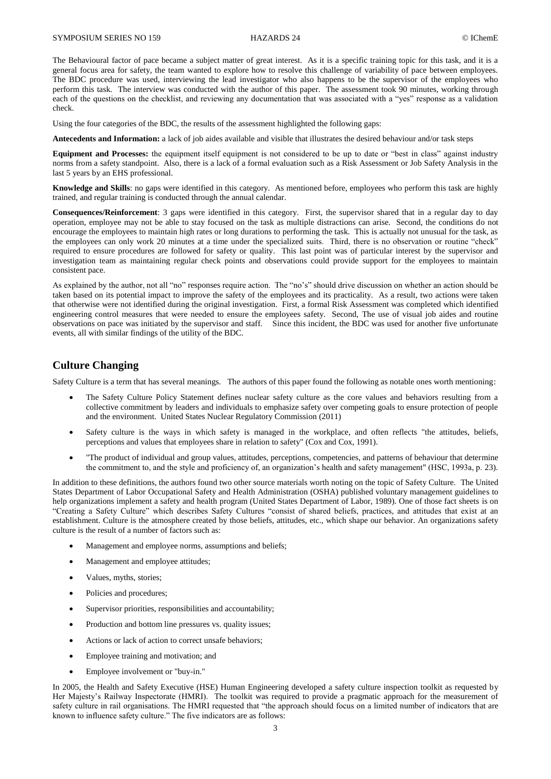The Behavioural factor of pace became a subject matter of great interest. As it is a specific training topic for this task, and it is a general focus area for safety, the team wanted to explore how to resolve this challenge of variability of pace between employees. The BDC procedure was used, interviewing the lead investigator who also happens to be the supervisor of the employees who perform this task. The interview was conducted with the author of this paper. The assessment took 90 minutes, working through each of the questions on the checklist, and reviewing any documentation that was associated with a "yes" response as a validation check.

Using the four categories of the BDC, the results of the assessment highlighted the following gaps:

**Antecedents and Information:** a lack of job aides available and visible that illustrates the desired behaviour and/or task steps

**Equipment and Processes:** the equipment itself equipment is not considered to be up to date or "best in class" against industry norms from a safety standpoint. Also, there is a lack of a formal evaluation such as a Risk Assessment or Job Safety Analysis in the last 5 years by an EHS professional.

**Knowledge and Skills**: no gaps were identified in this category. As mentioned before, employees who perform this task are highly trained, and regular training is conducted through the annual calendar.

**Consequences/Reinforcement**: 3 gaps were identified in this category. First, the supervisor shared that in a regular day to day operation, employee may not be able to stay focused on the task as multiple distractions can arise. Second, the conditions do not encourage the employees to maintain high rates or long durations to performing the task. This is actually not unusual for the task, as the employees can only work 20 minutes at a time under the specialized suits. Third, there is no observation or routine "check" required to ensure procedures are followed for safety or quality. This last point was of particular interest by the supervisor and investigation team as maintaining regular check points and observations could provide support for the employees to maintain consistent pace.

As explained by the author, not all "no" responses require action. The "no's" should drive discussion on whether an action should be taken based on its potential impact to improve the safety of the employees and its practicality. As a result, two actions were taken that otherwise were not identified during the original investigation. First, a formal Risk Assessment was completed which identified engineering control measures that were needed to ensure the employees safety. Second, The use of visual job aides and routine observations on pace was initiated by the supervisor and staff. Since this incident, the BDC was used for another five unfortunate events, all with similar findings of the utility of the BDC.

#### **Culture Changing**

Safety Culture is a term that has several meanings. The authors of this paper found the following as notable ones worth mentioning:

- The Safety Culture Policy Statement defines nuclear safety culture as the core values and behaviors resulting from a collective commitment by leaders and individuals to emphasize safety over competing goals to ensure protection of people and the environment. United States Nuclear Regulatory Commission (2011)
- Safety culture is the ways in which safety is managed in the workplace, and often reflects "the attitudes, beliefs, perceptions and values that employees share in relation to safety" (Cox and Cox, 1991).
- "The product of individual and group values, attitudes, perceptions, competencies, and patterns of behaviour that determine the commitment to, and the style and proficiency of, an organization's health and safety management" (HSC, 1993a, p. 23).

In addition to these definitions, the authors found two other source materials worth noting on the topic of Safety Culture. The United States Department of Labor Occupational Safety and Health Administration (OSHA) published voluntary management guidelines to help organizations implement a safety and health program (United States Department of Labor, 1989). One of those fact sheets is on "Creating a Safety Culture" which describes Safety Cultures "consist of shared beliefs, practices, and attitudes that exist at an establishment. Culture is the atmosphere created by those beliefs, attitudes, etc., which shape our behavior. An organizations safety culture is the result of a number of factors such as:

- Management and employee norms, assumptions and beliefs;
- Management and employee attitudes;
- Values, myths, stories;
- Policies and procedures;
- Supervisor priorities, responsibilities and accountability;
- Production and bottom line pressures vs. quality issues;
- Actions or lack of action to correct unsafe behaviors;
- Employee training and motivation; and
- Employee involvement or "buy-in."

In 2005, the Health and Safety Executive (HSE) Human Engineering developed a safety culture inspection toolkit as requested by Her Majesty's Railway Inspectorate (HMRI). The toolkit was required to provide a pragmatic approach for the measurement of safety culture in rail organisations. The HMRI requested that "the approach should focus on a limited number of indicators that are known to influence safety culture." The five indicators are as follows: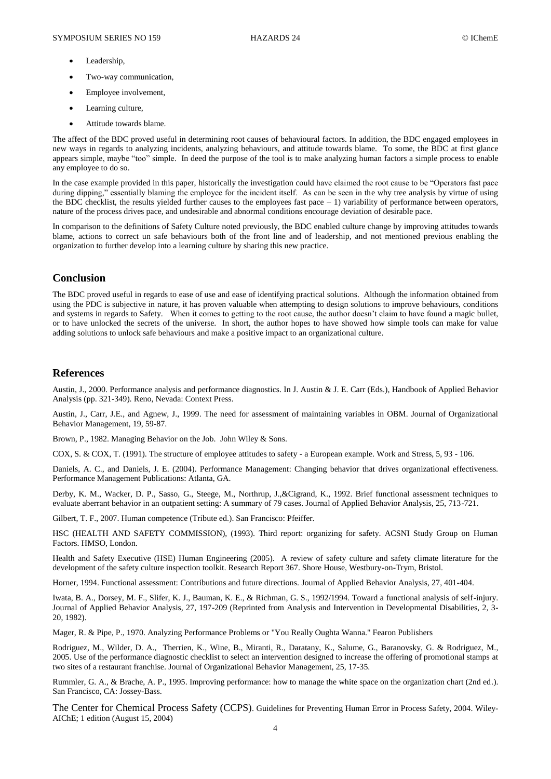- Leadership,
- Two-way communication,
- Employee involvement,
- Learning culture,
- Attitude towards blame.

The affect of the BDC proved useful in determining root causes of behavioural factors. In addition, the BDC engaged employees in new ways in regards to analyzing incidents, analyzing behaviours, and attitude towards blame. To some, the BDC at first glance appears simple, maybe "too" simple. In deed the purpose of the tool is to make analyzing human factors a simple process to enable any employee to do so.

In the case example provided in this paper, historically the investigation could have claimed the root cause to be "Operators fast pace during dipping," essentially blaming the employee for the incident itself. As can be seen in the why tree analysis by virtue of using the BDC checklist, the results yielded further causes to the employees fast pace  $-1$ ) variability of performance between operators, nature of the process drives pace, and undesirable and abnormal conditions encourage deviation of desirable pace.

In comparison to the definitions of Safety Culture noted previously, the BDC enabled culture change by improving attitudes towards blame, actions to correct un safe behaviours both of the front line and of leadership, and not mentioned previous enabling the organization to further develop into a learning culture by sharing this new practice.

#### **Conclusion**

The BDC proved useful in regards to ease of use and ease of identifying practical solutions. Although the information obtained from using the PDC is subjective in nature, it has proven valuable when attempting to design solutions to improve behaviours, conditions and systems in regards to Safety. When it comes to getting to the root cause, the author doesn't claim to have found a magic bullet, or to have unlocked the secrets of the universe. In short, the author hopes to have showed how simple tools can make for value adding solutions to unlock safe behaviours and make a positive impact to an organizational culture.

#### **References**

Austin, J., 2000. Performance analysis and performance diagnostics. In J. Austin & J. E. Carr (Eds.), Handbook of Applied Behavior Analysis (pp. 321-349). Reno, Nevada: Context Press.

Austin, J., Carr, J.E., and Agnew, J., 1999. The need for assessment of maintaining variables in OBM. Journal of Organizational Behavior Management, 19, 59-87.

Brown, P., 1982. Managing Behavior on the Job. John Wiley & Sons.

COX, S. & COX, T. (1991). The structure of employee attitudes to safety - a European example. Work and Stress, 5, 93 - 106.

Daniels, A. C., and Daniels, J. E. (2004). Performance Management: Changing behavior that drives organizational effectiveness. Performance Management Publications: Atlanta, GA.

Derby, K. M., Wacker, D. P., Sasso, G., Steege, M., Northrup, J.,&Cigrand, K., 1992. Brief functional assessment techniques to evaluate aberrant behavior in an outpatient setting: A summary of 79 cases. Journal of Applied Behavior Analysis, 25, 713-721.

Gilbert, T. F., 2007. Human competence (Tribute ed.). San Francisco: Pfeiffer.

HSC (HEALTH AND SAFETY COMMISSION), (1993). Third report: organizing for safety. ACSNI Study Group on Human Factors. HMSO, London.

Health and Safety Executive (HSE) Human Engineering (2005). A review of safety culture and safety climate literature for the development of the safety culture inspection toolkit. Research Report 367. Shore House, Westbury-on-Trym, Bristol.

Horner, 1994. Functional assessment: Contributions and future directions. Journal of Applied Behavior Analysis, 27, 401-404.

Iwata, B. A., Dorsey, M. F., Slifer, K. J., Bauman, K. E., & Richman, G. S., 1992/1994. Toward a functional analysis of self-injury. Journal of Applied Behavior Analysis, 27, 197-209 (Reprinted from Analysis and Intervention in Developmental Disabilities, 2, 3- 20, 1982).

Mager, R. & Pipe, P., 1970. Analyzing Performance Problems or "You Really Oughta Wanna." Fearon Publishers

Rodriguez, M., Wilder, D. A., Therrien, K., Wine, B., Miranti, R., Daratany, K., Salume, G., Baranovsky, G. & Rodriguez, M., 2005. Use of the performance diagnostic checklist to select an intervention designed to increase the offering of promotional stamps at two sites of a restaurant franchise. Journal of Organizational Behavior Management, 25, 17-35.

Rummler, G. A., & Brache, A. P., 1995. Improving performance: how to manage the white space on the organization chart (2nd ed.). San Francisco, CA: Jossey-Bass.

The Center for Chemical Process Safety (CCPS). Guidelines for Preventing Human Error in Process Safety, 2004. Wiley-AIChE; 1 edition (August 15, 2004)